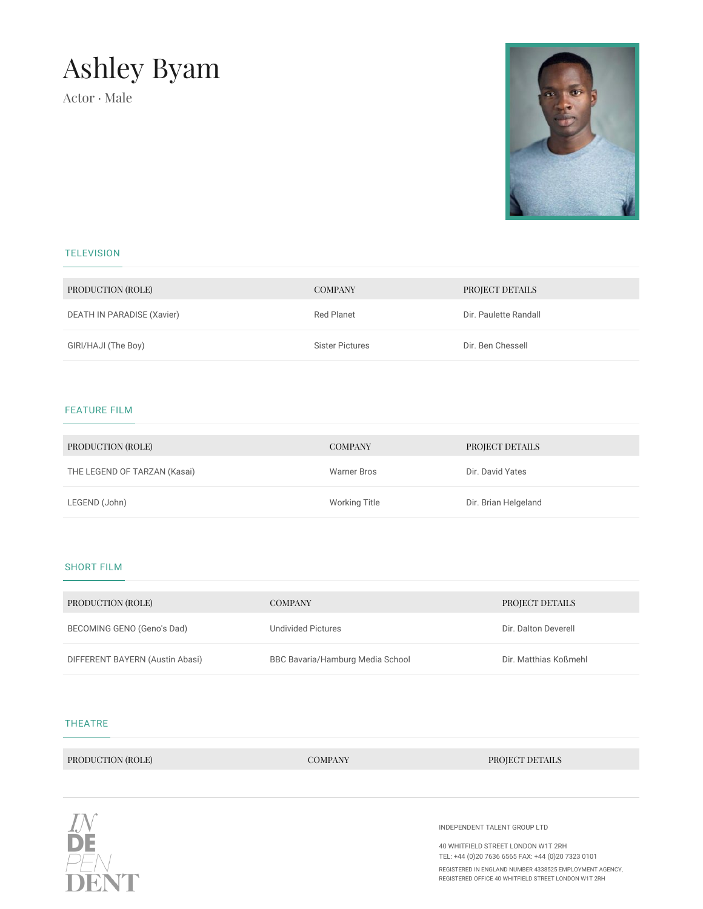# Ashley Byam

Actor · Male



# **TELEVISION**

| PRODUCTION (ROLE)          | <b>COMPANY</b>         | PROJECT DETAILS       |
|----------------------------|------------------------|-----------------------|
| DEATH IN PARADISE (Xavier) | Red Planet             | Dir. Paulette Randall |
| GIRI/HAJI (The Boy)        | <b>Sister Pictures</b> | Dir. Ben Chessell     |

# FEATURE FILM

| PRODUCTION (ROLE)            | <b>COMPANY</b>     | PROJECT DETAILS      |
|------------------------------|--------------------|----------------------|
| THE LEGEND OF TARZAN (Kasai) | <b>Warner Bros</b> | Dir. David Yates     |
| LEGEND (John)                | Working Title      | Dir. Brian Helgeland |

## SHORT FILM

| PRODUCTION (ROLE)               | <b>COMPANY</b>                   | PROJECT DETAILS       |
|---------------------------------|----------------------------------|-----------------------|
| BECOMING GENO (Geno's Dad)      | Undivided Pictures               | Dir. Dalton Deverell  |
| DIFFERENT BAYERN (Austin Abasi) | BBC Bavaria/Hamburg Media School | Dir. Matthias Koßmehl |

#### THEATRE

PRODUCTION (ROLE) COMPANY PROJECT DETAILS



INDEPENDENT TALENT GROUP LTD

40 WHITFIELD STREET LONDON W1T 2RH TEL: +44 (0)20 7636 6565 FAX: +44 (0)20 7323 0101

REGISTERED IN ENGLAND NUMBER 4338525 EMPLOYMENT AGENCY, REGISTERED OFFICE 40 WHITFIELD STREET LONDON W1T 2RH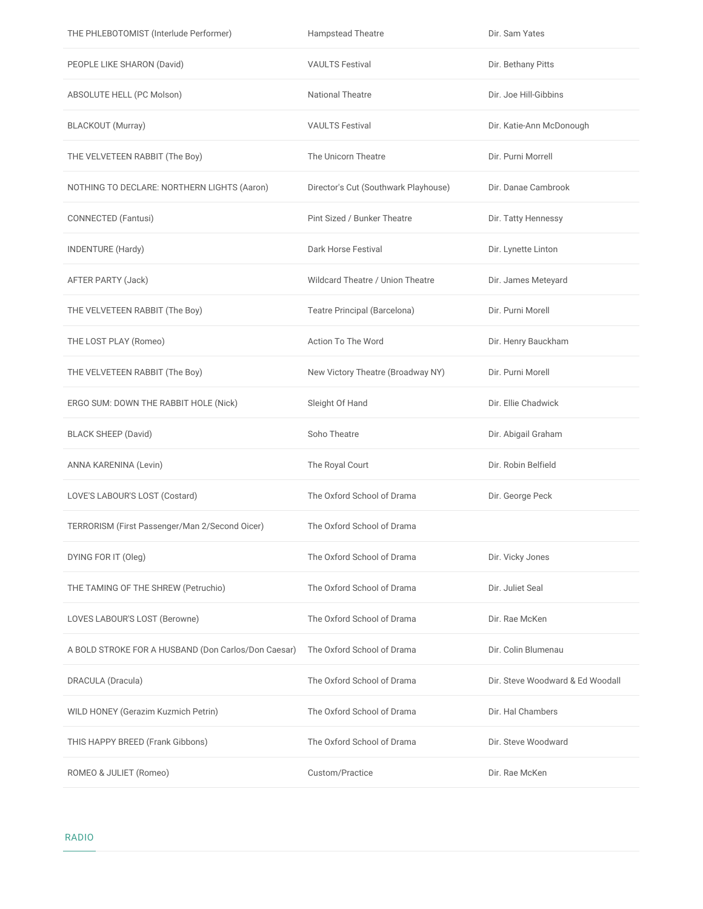| THE PHLEBOTOMIST (Interlude Performer)              | <b>Hampstead Theatre</b>             | Dir. Sam Yates                   |
|-----------------------------------------------------|--------------------------------------|----------------------------------|
| PEOPLE LIKE SHARON (David)                          | <b>VAULTS Festival</b>               | Dir. Bethany Pitts               |
| ABSOLUTE HELL (PC Molson)                           | <b>National Theatre</b>              | Dir. Joe Hill-Gibbins            |
| <b>BLACKOUT</b> (Murray)                            | <b>VAULTS Festival</b>               | Dir. Katie-Ann McDonough         |
| THE VELVETEEN RABBIT (The Boy)                      | The Unicorn Theatre                  | Dir. Purni Morrell               |
| NOTHING TO DECLARE: NORTHERN LIGHTS (Aaron)         | Director's Cut (Southwark Playhouse) | Dir. Danae Cambrook              |
| CONNECTED (Fantusi)                                 | Pint Sized / Bunker Theatre          | Dir. Tatty Hennessy              |
| <b>INDENTURE (Hardy)</b>                            | Dark Horse Festival                  | Dir. Lynette Linton              |
| AFTER PARTY (Jack)                                  | Wildcard Theatre / Union Theatre     | Dir. James Meteyard              |
| THE VELVETEEN RABBIT (The Boy)                      | Teatre Principal (Barcelona)         | Dir. Purni Morell                |
| THE LOST PLAY (Romeo)                               | Action To The Word                   | Dir. Henry Bauckham              |
| THE VELVETEEN RABBIT (The Boy)                      | New Victory Theatre (Broadway NY)    | Dir. Purni Morell                |
| ERGO SUM: DOWN THE RABBIT HOLE (Nick)               | Sleight Of Hand                      | Dir. Ellie Chadwick              |
| <b>BLACK SHEEP (David)</b>                          | Soho Theatre                         | Dir. Abigail Graham              |
| ANNA KARENINA (Levin)                               | The Royal Court                      | Dir. Robin Belfield              |
| LOVE'S LABOUR'S LOST (Costard)                      | The Oxford School of Drama           | Dir. George Peck                 |
| TERRORISM (First Passenger/Man 2/Second Oicer)      | The Oxford School of Drama           |                                  |
| DYING FOR IT (Oleg)                                 | The Oxford School of Drama           | Dir. Vicky Jones                 |
| THE TAMING OF THE SHREW (Petruchio)                 | The Oxford School of Drama           | Dir. Juliet Seal                 |
| LOVES LABOUR'S LOST (Berowne)                       | The Oxford School of Drama           | Dir. Rae McKen                   |
| A BOLD STROKE FOR A HUSBAND (Don Carlos/Don Caesar) | The Oxford School of Drama           | Dir. Colin Blumenau              |
| DRACULA (Dracula)                                   | The Oxford School of Drama           | Dir. Steve Woodward & Ed Woodall |
| WILD HONEY (Gerazim Kuzmich Petrin)                 | The Oxford School of Drama           | Dir. Hal Chambers                |
| THIS HAPPY BREED (Frank Gibbons)                    | The Oxford School of Drama           | Dir. Steve Woodward              |
| ROMEO & JULIET (Romeo)                              | Custom/Practice                      | Dir. Rae McKen                   |